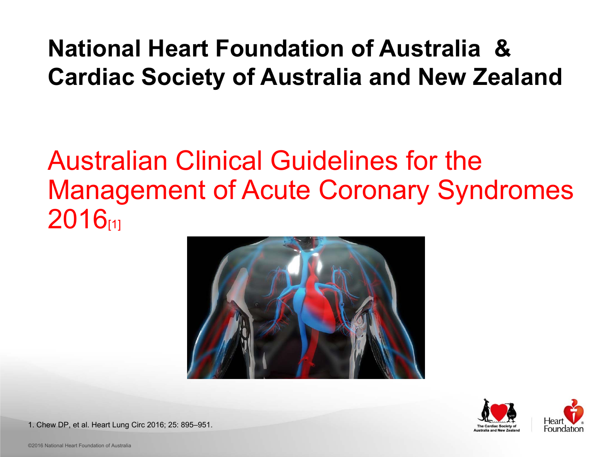©2016 National Heart Foundation of Australia



### Australian Clinical Guidelines for the Management of Acute Coronary Syndromes 2016<sub>[1]</sub>





#### **National Heart Foundation of Australia & Cardiac Society of Australia and New Zealand**

1. Chew DP, et al. Heart Lung Circ 2016; 25: 895–951.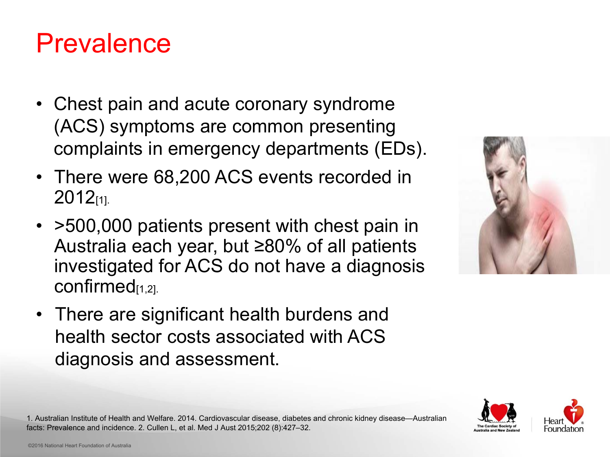





### Prevalence

- $\bullet$  Chest pain and acute coronary syndrome (ACS) symptoms are common presenting complaints in emergency departments (EDs).
- $\bullet$  There were 68,200 ACS events recorded in 2012[1].
- $\bullet$  >500,000 patients present with chest pain in Australia each year, but ≥80% of all patients investigated for ACS do not have a diagnosis confirmed<sub>[1,2]</sub>.
- $\bullet$  There are significant health burdens and health sector costs associated with ACS diagnosis and assessment.

1. Australian Institute of Health and Welfare. 2014. Cardiovascular disease, diabetes and chronic kidney disease—Australian facts: Prevalence and incidence. 2. Cullen L, et al. Med J Aust 2015;202 (8):427–32.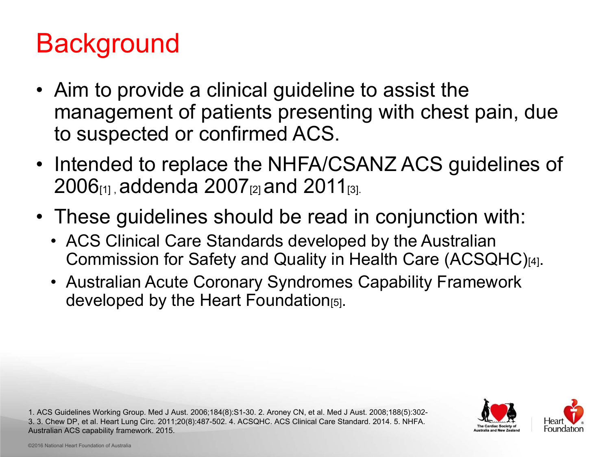



## Background

- $\bullet$  Aim to provide a clinical guideline to assist the management of patients presenting with chest pain, due to suspected or confirmed ACS.
- $\bullet$  Intended to replace the NHFA/CSANZ ACS guidelines of 2006[1] , addenda 2007[2] and 2011[3].
- $\bullet$  These guidelines should be read in conjunction with:
	- $\bullet$  ACS Clinical Care Standards developed by the Australian Commission for Safety and Quality in Health Care (ACSQHC)[4].
	- $\bullet$  Australian Acute Coronary Syndromes Capability Framework developed by the Heart Foundation[5].

1. ACS Guidelines Working Group. Med J Aust. 2006;184(8):S1-30. 2. Aroney CN, et al. Med J Aust. 2008;188(5):302- 3. 3. Chew DP, et al. Heart Lung Circ. 2011;20(8):487-502. 4. ACSQHC. ACS Clinical Care Standard. 2014. 5. NHFA. Australian ACS capability framework. 2015.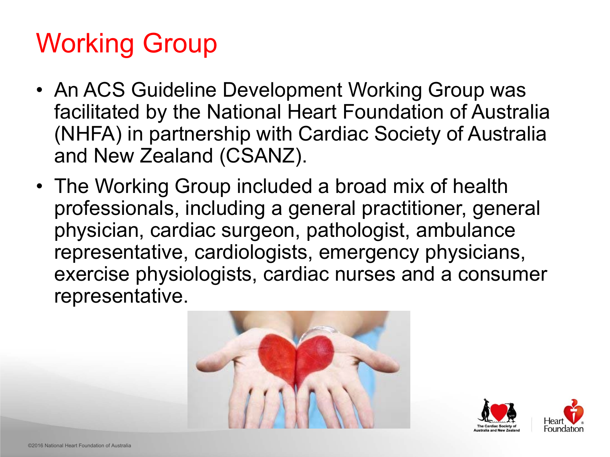



# Working Group

- $\bullet$  An ACS Guideline Development Working Group was facilitated by the National Heart Foundation of Australia (NHFA) in partnership with Cardiac Society of Australia and New Zealand (CSANZ).
- $\bullet$  The Working Group included a broad mix of health professionals, including a general practitioner, general physician, cardiac surgeon, pathologist, ambulance representative, cardiologists, emergency physicians, exercise physiologists, cardiac nurses and a consumer representative.

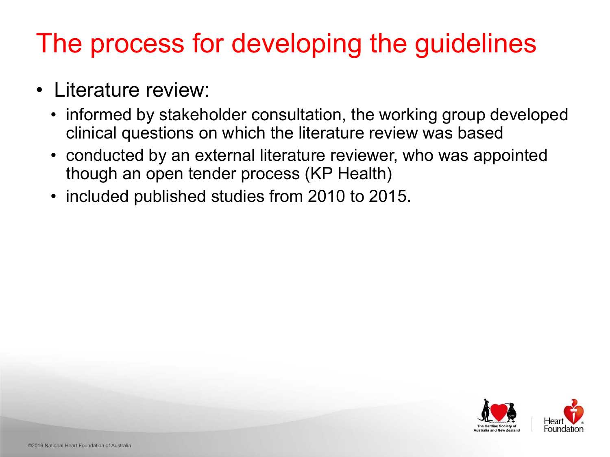## The process for developing the guidelines

informed by stakeholder consultation, the working group developed





- $\bullet$  Literature review:
	- $\bullet$ clinical questions on which the literature review was based
	- $\bullet$  conducted by an external literature reviewer, who was appointed though an open tender process (KP Health)
	- $\bullet$ included published studies from 2010 to 2015.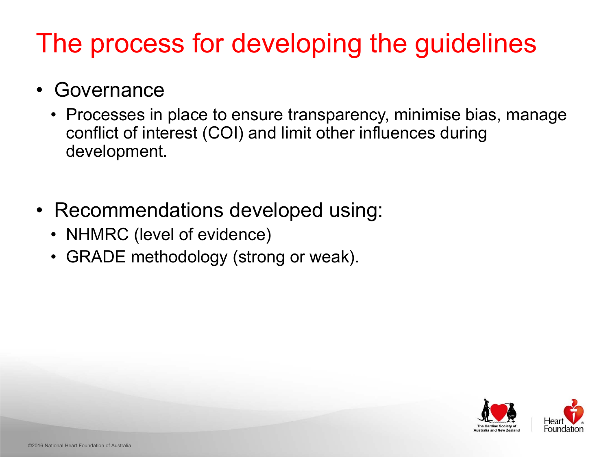



## The process for developing the guidelines

- $\bullet$  Governance
	- $\bullet$  Processes in place to ensure transparency, minimise bias, manage conflict of interest (COI) and limit other influences during development.
- $\bullet$  Recommendations developed using:
	- $\bullet$ NHMRC (level of evidence)
	- $\bullet$ GRADE methodology (strong or weak).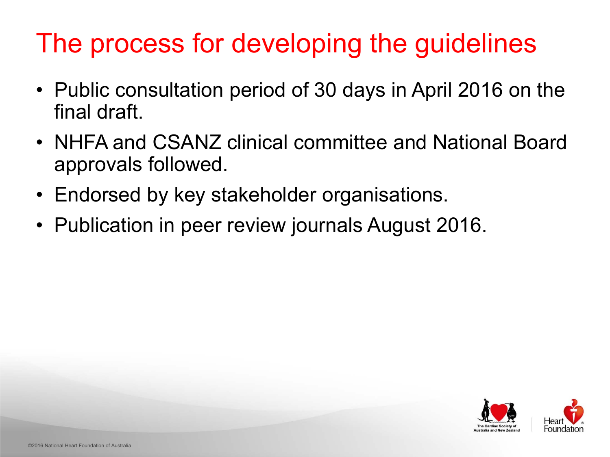



## The process for developing the guidelines

- $\bullet$  Public consultation period of 30 days in April 2016 on the final draft.
- $\bullet$  NHFA and CSANZ clinical committee and National Board approvals followed.
- $\bullet$
- Endorsed by key stakeholder organisations.  $\bullet$ Publication in peer review journals August 2016.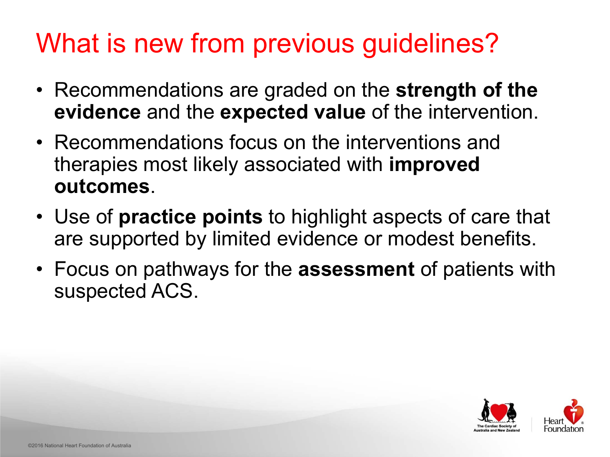



## What is new from previous quidelines?

- $\bullet$  Recommendations are graded on the **strength of the evidence** and the **expected value** of the intervention.
- $\bullet$  Recommendations focus on the interventions and therapies most likely associated with **improved outcomes**.
- $\bullet$  Use of **practice points** to highlight aspects of care that are supported by limited evidence or modest benefits.  $\bullet$ Focus on pathways for the **assessment** of patients with
- suspected ACS.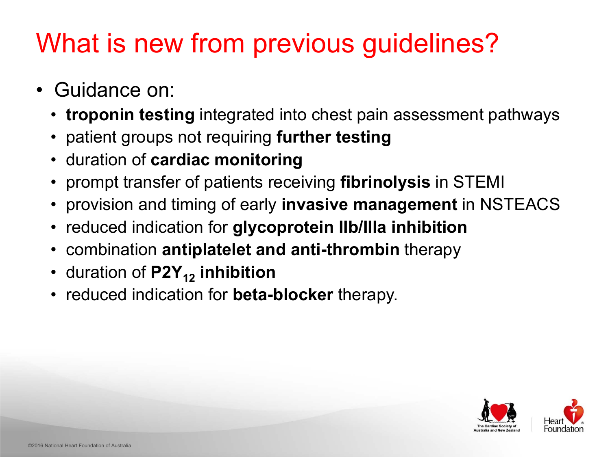



## What is new from previous guidelines?

- $\bullet$  Guidance on:
	- $\bullet$ **troponin testing** integrated into chest pain assessment pathways
	- $\bullet$ patient groups not requiring **further testing**
	- $\bullet$ duration of **cardiac monitoring**
	- $\bullet$ prompt transfer of patients receiving **fibrinolysis** in STEMI
	- $\bullet$ provision and timing of early **invasive management** in NSTEACS
	- $\bullet$ reduced indication for **glycoprotein IIb/IIIa inhibition**
	- $\bullet$ combination **antiplatelet and anti-thrombin** therapy
	- $\bullet$ duration of **P2Y12 inhibition**
	- $\bullet$ reduced indication for **beta-blocker** therapy.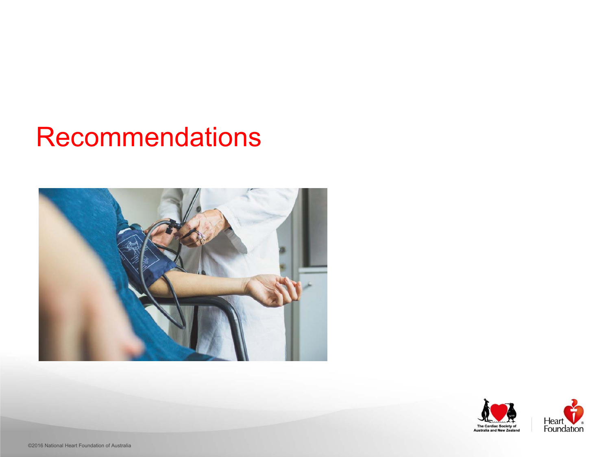©2016 National Heart Foundation of Australia





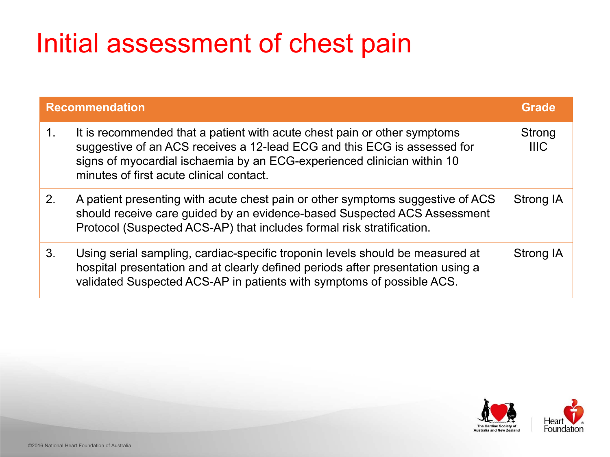# Initial assessment of chest pain

- 1. It is recommended that a patient with acute che suggestive of an ACS receives a 12-lead ECG signs of myocardial ischaemia by an ECG-experience minutes of first acute clinical contact.
- 2. A patient presenting with acute chest pain or of should receive care guided by an evidence-base Protocol (Suspected ACS-AP) that includes for
- 3. Using serial sampling, cardiac-specific troponing hospital presentation and at clearly defined per validated Suspected ACS-AP in patients with st

|                                                                                                 | Grade                        |
|-------------------------------------------------------------------------------------------------|------------------------------|
| est pain or other symptoms<br>and this ECG is assessed for<br>erienced clinician within 10      | <b>Strong</b><br><b>IIIC</b> |
| ther symptoms suggestive of ACS<br>sed Suspected ACS Assessment<br>mal risk stratification.     | <b>Strong IA</b>             |
| n levels should be measured at<br>riods after presentation using a<br>symptoms of possible ACS. | <b>Strong IA</b>             |



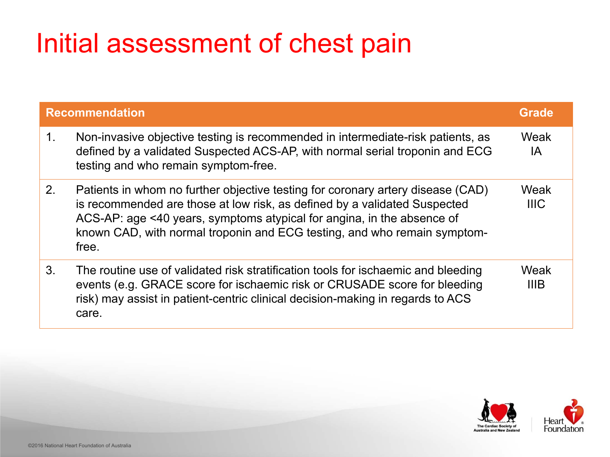# Initial assessment of chest pain

- 1. Non-invasive objective testing is recommended defined by a validated Suspected ACS-AP, with testing and who remain symptom-free.
- 2. Patients in whom no further objective testing for is recommended are those at low risk, as define ACS-AP: age <40 years, symptoms atypical for known CAD, with normal troponin and ECG testing free.
- 3. The routine use of validated risk stratification to events (e.g. GRACE score for ischaemic risk or risk) may assist in patient-centric clinical decision care.

|                                                                                                                                  | Grade               |
|----------------------------------------------------------------------------------------------------------------------------------|---------------------|
| d in intermediate-risk patients, as<br>n normal serial troponin and ECG                                                          | Weak<br>IA          |
| or coronary artery disease (CAD)<br>ed by a validated Suspected<br>r angina, in the absence of<br>sting, and who remain symptom- | Weak<br><b>IIIC</b> |
| pols for ischaemic and bleeding<br>or CRUSADE score for bleeding<br>ion-making in regards to ACS                                 | Weak<br>IIIB        |



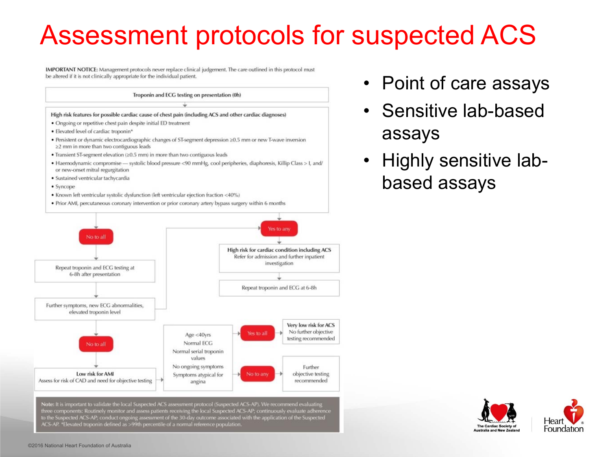|     |    | ī |  |
|-----|----|---|--|
|     |    | í |  |
|     |    | I |  |
|     | i, |   |  |
| 'nέ |    | ŕ |  |
|     |    |   |  |
|     |    |   |  |
|     |    |   |  |

|  |  |  |  | • Point of care assays |  |
|--|--|--|--|------------------------|--|
|--|--|--|--|------------------------|--|

## Assessment protocols for suspected ACS

IMPORTANT NOTICE: Management protocols never replace clinical judgement. The care outlined in this protocol must be altered if it is not clinically appropriate for the individual patient.



to the Suspected ACS-AP; conduct ongoing assessment of the 30-day outcome associated with the application of the Suspected ACS-AP. \*Elevated troponin defined as >99th percentile of a normal reference population.

- $\bullet$  Sensitive lab-based assays
- $\bullet$  Highly sensitive labbased assays



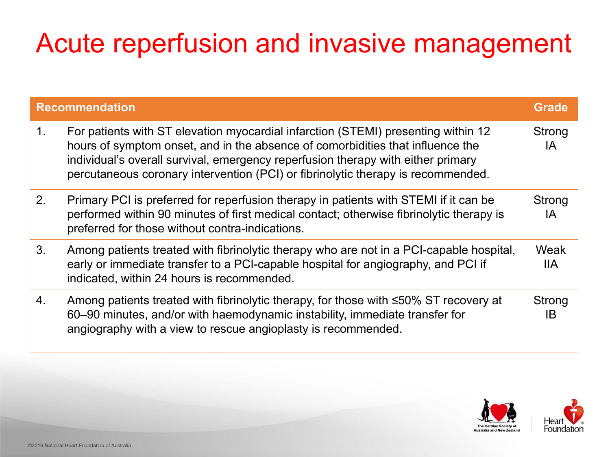## Acute reperfusion and invasive management

- 1. For patients with ST elevation myocardial infarction hours of symptom onset, and in the absence of o individual's overall survival, emergency reperfusi percutaneous coronary intervention (PCI) or fibri
- 2. Primary PCI is preferred for reperfusion therapy performed within 90 minutes of first medical contact preferred for those without contra-indications.
- 3. Among patients treated with fibrinolytic therapy **where** early or immediate transfer to a PCI-capable hos indicated, within 24 hours is recommended.
- 4. Among patients treated with fibrinolytic therapy, 60–90 minutes, and/or with haemodynamic insta angiography with a view to rescue angioplasty is

| n                                                                                                                                                                                                                                                                                            | <b>Grade</b>               |
|----------------------------------------------------------------------------------------------------------------------------------------------------------------------------------------------------------------------------------------------------------------------------------------------|----------------------------|
| with ST elevation myocardial infarction (STEMI) presenting within 12<br>mptom onset, and in the absence of comorbidities that influence the<br>overall survival, emergency reperfusion therapy with either primary<br>us coronary intervention (PCI) or fibrinolytic therapy is recommended. | <b>Strong</b><br>IA        |
| I is preferred for reperfusion therapy in patients with STEMI if it can be<br>vithin 90 minutes of first medical contact; otherwise fibrinolytic therapy is<br>r those without contra-indications.                                                                                           | <b>Strong</b><br>IA        |
| ents treated with fibrinolytic therapy who are not in a PCI-capable hospital,<br>nediate transfer to a PCI-capable hospital for angiography, and PCI if<br>ithin 24 hours is recommended.                                                                                                    | Weak<br><b>IIA</b>         |
| ents treated with fibrinolytic therapy, for those with ≤50% ST recovery at<br>tes, and/or with haemodynamic instability, immediate transfer for<br>y with a view to rescue angioplasty is recommended.                                                                                       | <b>Strong</b><br><b>IB</b> |



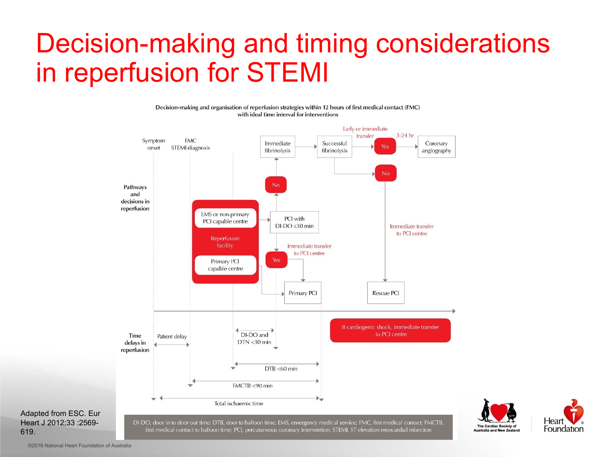



### Decision-making and timing considerations in reperfusion for STEMI

Decision-making and organisation of reperfusion strategies within 12 hours of first medical contact (FMC) with ideal time interval for interventions



Adapted from ESC. Eur Heart J 2012;33 :2569- 619.

DI-DO, door in to door out time; DTB, door to balloon time; EMS, emergency medical service; FMC, first medical contact; FMCTB, first medical contact to balloon time; PCI, percutaneous coronary intervention; STEMI, ST elevation myocardial infarction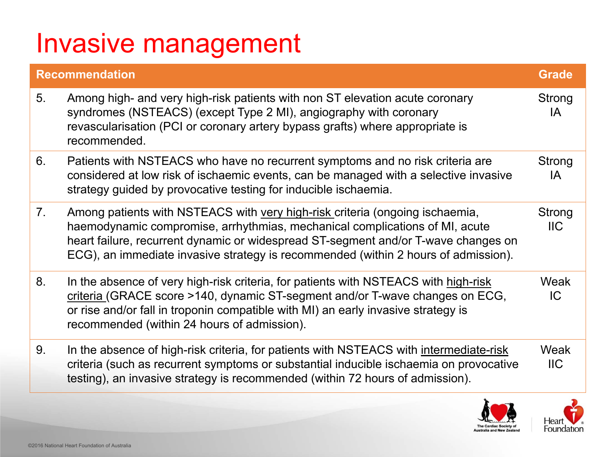### Invasive management

#### **Recommendation**

- 5. Among high- and very high-risk patients with non syndromes (NSTEACS) (except Type 2 MI), ang revascularisation (PCI or coronary artery bypass recommended.
- 6. Patients with NSTEACS who have no recurrent considered at low risk of ischaemic events, can strategy guided by provocative testing for inducil
- 7. Among patients with NSTEACS with very high-ris haemodynamic compromise, arrhythmias, mech heart failure, recurrent dynamic or widespread S ECG), an immediate invasive strategy is recomments.
- 8. In the absence of very high-risk criteria, for patients with  $\theta$ criteria (GRACE score >140, dynamic ST-segment or rise and/or fall in troponin compatible with MI recommended (within 24 hours of admission).
- 9. In the absence of high-risk criteria, for patients w criteria (such as recurrent symptoms or substant testing), an invasive strategy is recommended (when

| n                                                                                                                                                                                                                                                                                              | <b>Grade</b>               |
|------------------------------------------------------------------------------------------------------------------------------------------------------------------------------------------------------------------------------------------------------------------------------------------------|----------------------------|
| and very high-risk patients with non ST elevation acute coronary<br>(NSTEACS) (except Type 2 MI), angiography with coronary<br>sation (PCI or coronary artery bypass grafts) where appropriate is<br>led.                                                                                      | <b>Strong</b><br>IA        |
| h NSTEACS who have no recurrent symptoms and no risk criteria are<br>at low risk of ischaemic events, can be managed with a selective invasive<br>ded by provocative testing for inducible ischaemia.                                                                                          | <b>Strong</b><br><b>IA</b> |
| ents with NSTEACS with very high-risk criteria (ongoing ischaemia,<br>mic compromise, arrhythmias, mechanical complications of MI, acute<br>e, recurrent dynamic or widespread ST-segment and/or T-wave changes on<br>nmediate invasive strategy is recommended (within 2 hours of admission). | Strong<br><b>IIC</b>       |
| nce of very high-risk criteria, for patients with NSTEACS with high-risk<br>ACE score >140, dynamic ST-segment and/or T-wave changes on ECG,<br>or fall in troponin compatible with MI) an early invasive strategy is<br>led (within 24 hours of admission).                                   | Weak<br> C                 |
| nce of high-risk criteria, for patients with NSTEACS with intermediate-risk<br>h as recurrent symptoms or substantial inducible ischaemia on provocative<br>invasive strategy is recommended (within 72 hours of admission).                                                                   | Weak<br><b>IIC</b>         |
| $\delta \bullet \delta$                                                                                                                                                                                                                                                                        |                            |

Heart  $\mathbf{V}$ .

Foundation

JE www. **The Cardiac Society of** 

**Australia and New Zealand**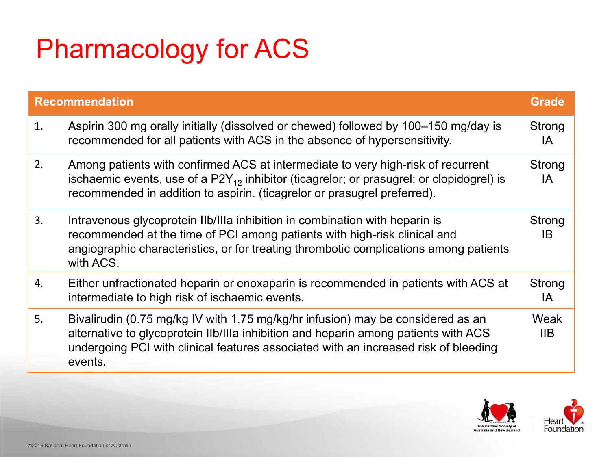# Pharmacology for ACS

- 1.Aspirin 300 mg orally initially (dissolved or chewe recommended for all patients with ACS in the ab
- 2.Among patients with confirmed ACS at intermed ischaemic events, use of a P2Y $_{\rm 12}$  inhibitor (ticagrelor; or prasugrel; or clopidogrel) is recommended in addition to aspirin. (ticagrelor or
- 3. Intravenous glycoprotein IIb/IIIa inhibition in com recommended at the time of PCI among patients angiographic characteristics, or for treating thron with ACS.
- 4.Either unfractionated heparin or enoxaparin is re intermediate to high risk of ischaemic events.
- 5. Bivalirudin (0.75 mg/kg IV with 1.75 mg/kg/hr infit alternative to glycoprotein IIb/IIIa inhibition and heparture to glycoprotein IIb/IIIa inhibition and hepartur undergoing PCI with clinical features associated events.

| n                                                                                                                                                                                                                                  | <b>Grade</b>        |
|------------------------------------------------------------------------------------------------------------------------------------------------------------------------------------------------------------------------------------|---------------------|
| mg orally initially (dissolved or chewed) followed by 100–150 mg/day is<br>ded for all patients with ACS in the absence of hypersensitivity.                                                                                       | <b>Strong</b><br>IA |
| ients with confirmed ACS at intermediate to very high-risk of recurrent<br>events, use of a $P2Y_{12}$ inhibitor (ticagrelor; or prasugrel; or clopidogrel) is<br>ded in addition to aspirin. (ticagrelor or prasugrel preferred). | <b>Strong</b><br>IA |
| s glycoprotein IIb/IIIa inhibition in combination with heparin is<br>ded at the time of PCI among patients with high-risk clinical and<br>ic characteristics, or for treating thrombotic complications among patients              | <b>Strong</b><br>IB |
| actionated heparin or enoxaparin is recommended in patients with ACS at<br>e to high risk of ischaemic events.                                                                                                                     | <b>Strong</b><br>IA |
| (0.75 mg/kg IV with 1.75 mg/kg/hr infusion) may be considered as an<br>to glycoprotein IIb/IIIa inhibition and heparin among patients with ACS<br>PCI with clinical features associated with an increased risk of bleeding         | Weak<br><b>IIB</b>  |



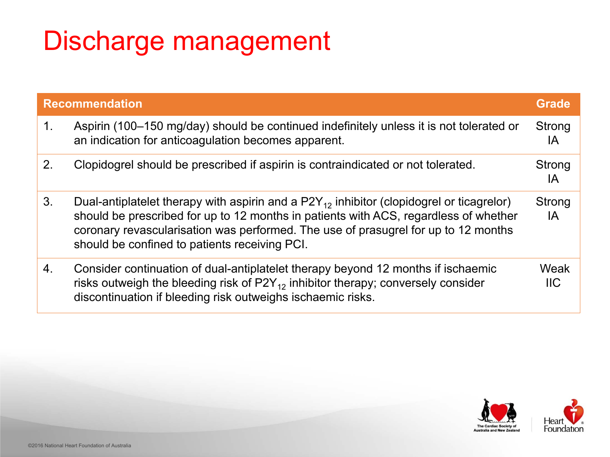### Discharge management

- 1. Aspirin (100–150 mg/day) should be continued an indication for anticoagulation becomes appa
- 2. Clopidogrel should be prescribed if aspirin is contain
- 3. Dual-antiplatelet therapy with aspirin and a P2Y should be prescribed for up to 12 months in pat coronary revascularisation was performed. The should be confined to patients receiving PCI.
- 4. Consider continuation of dual-antiplatelet therapy risks outweigh the bleeding risk of P2Y $_{\rm 12}$  inhibitor therapy; conversely consider discontinuation if bleeding risk outweighs ischae

| n                                                                                                                                                                                                                                                                                | <b>Grade</b>        |
|----------------------------------------------------------------------------------------------------------------------------------------------------------------------------------------------------------------------------------------------------------------------------------|---------------------|
| -150 mg/day) should be continued indefinitely unless it is not tolerated or<br>n for anticoagulation becomes apparent.                                                                                                                                                           | <b>Strong</b><br>IA |
| should be prescribed if aspirin is contraindicated or not tolerated.                                                                                                                                                                                                             | <b>Strong</b><br>IA |
| itelet therapy with aspirin and a $P2Y_{12}$ inhibitor (clopidogrel or ticagrelor)<br>rescribed for up to 12 months in patients with ACS, regardless of whether<br>vascularisation was performed. The use of prasugrel for up to 12 months<br>onfined to patients receiving PCI. | <b>Strong</b><br>IA |
| Intinuation of dual-antiplatelet therapy beyond 12 months if ischaemic<br>gh the bleeding risk of $P2Y_{12}$ inhibitor therapy; conversely consider<br>tion if bleeding risk outweighs ischaemic risks.                                                                          | Weak<br><b>IIC</b>  |



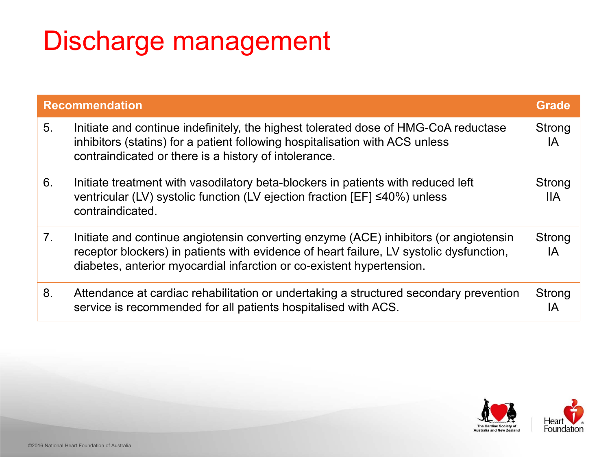### Discharge management

- 5. Initiate and continue indefinitely, the highest toleration inhibitors (statins) for a patient following hospitalisation contraindicated or there is a history of intoleran
- 6. Initiate treatment with vasodilatory beta-blocker ventricular (LV) systolic function (LV ejection fra contraindicated.
- 7. Initiate and continue angiotensin converting enzo receptor blockers) in patients with evidence of  $\mathsf I$ diabetes, anterior myocardial infarction or co-existent hypertension.
- 8. Attendance at cardiac rehabilitation or undertak service is recommended for all patients hospitalised with ACS.

| n                                                                                                                                                                                                                    | Grade                       |
|----------------------------------------------------------------------------------------------------------------------------------------------------------------------------------------------------------------------|-----------------------------|
| continue indefinitely, the highest tolerated dose of HMG-CoA reductase<br>tatins) for a patient following hospitalisation with ACS unless<br>ated or there is a history of intolerance.                              | <b>Strong</b><br>IA         |
| ment with vasodilatory beta-blockers in patients with reduced left<br>LV) systolic function (LV ejection fraction $[EF] \leq 40\%$ ) unless<br>ated.                                                                 | <b>Strong</b><br><b>IIA</b> |
| continue angiotensin converting enzyme (ACE) inhibitors (or angiotensin<br>ckers) in patients with evidence of heart failure, LV systolic dysfunction,<br>nterior myocardial infarction or co-existent hypertension. | <b>Strong</b><br>IА         |
| at cardiac rehabilitation or undertaking a structured secondary prevention<br>commended for all patients hospitalised with ACS.                                                                                      | <b>Strong</b><br>IA         |



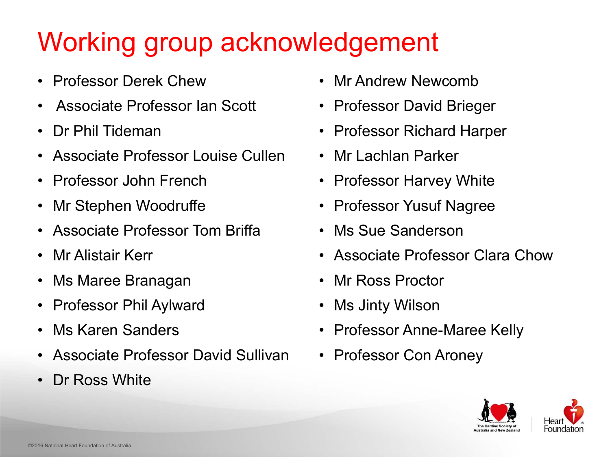# Working group acknowledgement

- •Professor Derek Chew
- •Associate Professor Ian Scott
- •Dr Phil Tideman
- •Associate Professor Louise Cullen
- $\bullet$ Professor John French
- •Mr Stephen Woodruffe
- •Associate Professor Tom Briffa
- •Mr Alistair Kerr
- •Ms Maree Branagan
- $\bullet$ Professor Phil Aylward
- •Ms Karen Sanders
- $\bullet$ Associate Professor David Sullivan
- •Dr Ross White
- •Mr Andrew Newcomb
- •Professor David Brieger
- $\bullet$ Professor Richard Harper
- •Mr Lachlan Parker
- •Professor Harvey White
- •Professor Yusuf Nagree
- •Ms Sue Sanderson
- $\bullet$ Associate Professor Clara Chow
- •Mr Ross Proctor
- •Ms Jinty Wilson
- •Professor Anne-Maree Kelly
- •Professor Con Aroney



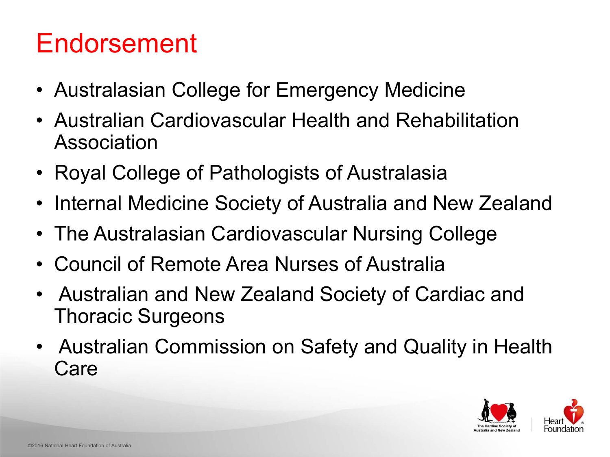



#### Endorsement

- $\bullet$  Australasian College for Emergency Medicine  $\bullet$ Australian Cardiovascular Health and Rehabilitation
- Association
- $\bullet$  Royal College of Pathologists of Australasia  $\bullet$  Internal Medicine Society of Australia and New Zealand  $\bullet$  The Australasian Cardiovascular Nursing College  $\bullet$  Council of Remote Area Nurses of Australia  $\bullet$ Australian and New Zealand Society of Cardiac and
- 
- 
- 
- Thoracic Surgeons
- $\bullet$  Australian Commission on Safety and Quality in Health Care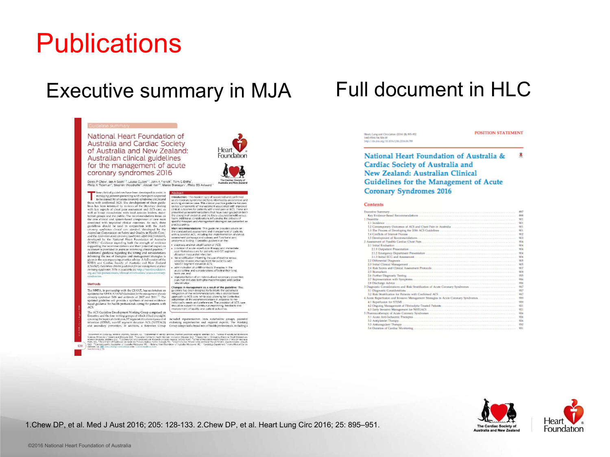128

Heart, Lung and Circulation (2014) 25, 895-952. 140-9506/04/\$36.00 http://dx.doi.org/10.1014/j.Mc.2016.06789

**POSITION STATEMENT** 

#### National Heart Foundation of Australia & - 90 Cardiac Society of Australia and New Zealand: Australian Clinical Guidelines for the Management of Acute **Coronary Syndromes 2016**

#### **Contents**

|                                                                                                                                                                                                                               | es a            |
|-------------------------------------------------------------------------------------------------------------------------------------------------------------------------------------------------------------------------------|-----------------|
|                                                                                                                                                                                                                               | <b>Side for</b> |
|                                                                                                                                                                                                                               | ŦИ              |
|                                                                                                                                                                                                                               | 901             |
|                                                                                                                                                                                                                               | 901             |
|                                                                                                                                                                                                                               | 901             |
| 14 Conflicts of Interest Process (1999) (1999) (1999) (1999) (1999) (1999) (1999) (1999) (1999) (1999) (1999) (1999) (1999) (1999) (1999) (1999) (1999) (1999) (1999) (1999) (1999) (1999) (1999) (1999) (1999) (1999) (1999) | 902             |
|                                                                                                                                                                                                                               | 900             |
|                                                                                                                                                                                                                               | 904             |
|                                                                                                                                                                                                                               | 934             |
|                                                                                                                                                                                                                               | 質量              |
|                                                                                                                                                                                                                               | 904             |
|                                                                                                                                                                                                                               | 934             |
|                                                                                                                                                                                                                               | 905             |
|                                                                                                                                                                                                                               | SOS.            |
|                                                                                                                                                                                                                               | 907             |
|                                                                                                                                                                                                                               | 909             |
|                                                                                                                                                                                                                               | 915             |
|                                                                                                                                                                                                                               | 916             |
|                                                                                                                                                                                                                               | 514             |
| 3 Diagnostic Considerations and Risk Stratification of Acute Coronary Syndromes                                                                                                                                               | 917             |
|                                                                                                                                                                                                                               | 知名              |
|                                                                                                                                                                                                                               | 917             |
| 4 Actie Reperfusion and Invasive Management Strategies in Actie Coronary Syndromes,                                                                                                                                           | 価値              |
|                                                                                                                                                                                                                               | 979             |
|                                                                                                                                                                                                                               | 931             |
|                                                                                                                                                                                                                               | 921             |
|                                                                                                                                                                                                                               | 936             |
|                                                                                                                                                                                                                               | 436             |
|                                                                                                                                                                                                                               | 934             |
|                                                                                                                                                                                                                               | 933             |
|                                                                                                                                                                                                                               | 934             |
|                                                                                                                                                                                                                               |                 |





#### Publications

#### Executive summary in MJA Full document in HLC

#### Guideline summar

National Heart Foundation of Australia and Cardiac Society of Australia and New Zealand: Australian clinical guidelines for the management of acute coronary syndromes 2016

Foundation

The Cardiac Society of

Derek P Chew, Ian A Scott<sup>23</sup>, Louise Cullen<sup>4,5</sup>, John K French<sup>6</sup>, Tom G Briffa<sup>7</sup>, Philip A Tidernan<sup>8</sup>, Stephen Woodruffe<sup>0</sup>, Alistair Kerr<sup>10</sup>, Maree Branagan<sup>1</sup>, Philip EG Aylward<sup>1</sup>

hese clinical guidelines have been developed to assist in managing patients presenting with chest pain suspected to be caused by an acute coronary syndrome (ACS) and those with confirmed ACS. The development of these guidelines has been informed by reviews of the literature dealing with key aspects of chest pain assessment and ACS care, as well as broad consultation with local opinion leaders, stakeholder groups and the public. The recommendations focus on the core clinical and system-based components of care most associated with improved clinical outcomes. As such, these guidelines should be read in conjunction with the Acute coronary syndromes clinical care standard, developed by the Australian Commission on Safety and Quality in Health Care, and the Anstralian acute coronary syndromes capability framework, developed by the National Heart Foundation of Australia (NHFA).<sup>2</sup> Guidance regarding both the strength of evidence supporting the recommendations and their potential impact on outcomes is provided to assist in informing clinical practice.<sup>3,4</sup> Additional guidance regarding the timing and considerations informing the use of therapies and management strategies is given in the accompanying practice advice. A full version of the NHFA and Cardiac Society of Australia and New Zealand (CSANZ) Australian clinical guidelines for the management of acute coronary syndromes 2016 is available at: http://heartfoundation. org.au/for-professionals/clinical-information/acute-coronarysyndromes.

#### Methods

The NHFA, in partnership with the CSANZ, has undertaken an update to the NHFA / CSANZ Guidelines for the management of acute coronary syndromes 2006 and addenda of 2007 and 2011.<sup>507</sup> The updated guideline will provide a synthesis of current evidencebased guidance for health professionals caring for patients with ACS.

The ACS Guideline Development Working Group comprised an Executive and the four writing groups of which it had oversight.

Australia and New Zealan Introduction: The modern care of suspected and confirmed acute coronary syndrome (ACS) is informed by an extensive and evolving evidence base. This clinical practice guideline focuses

on key components of management associated with improved clinical outcomes for patients with chest pain or ACS. These are presented as recommendations that have been graded on both the strength of evidence and the likely absolute benefit versus. harm. Additional considerations influencing the delivery of specific therapies and management strategies are presented as practice points.

Main recommendations: This guideline provides advice on the standardised assessment and management of patients with suspected ACS, including the implementation of clinical assessment pathways and subsequent functional and anatomical testing. It provides guidance on the:

- · diagnosis and risk stratification of ACS:
- provision of acute reperfusion therapy and immediate. post-fibrinolysis care for patients with ST segment elevation myocardial infarction;
- risk stratification informing the use of routine versus selective invasive management for patients with non-ST segment elevation ACS;
- administration of antithrombotic therapies in the
- acute setting and considerations affecting their long term use; and
- implementation of an individualised secondary prevention plan that includes both pharmacotherapies and cardiac rehabilitation.

Changes in management as a result of the guideline: This guideline has been designed to facilitate the systematic integration of the recommendations into a standardised approach to ACS care, while also allowing for contextual adaptation of the recommendations in response to the individual's needs and preferences. The provision of ACS care should be subject to continuous monitoring, feedback and improvement of quality and patient outcomes.

covering the topics of chest pain, ST segment elevation myocardial included representatives from stakeholder groups, potential infarction (STEMI), non-ST segment elevation ACS (NSTEACS) endorsing organisations and regional experts. The Working and secondary prevention. In addition, a Reference Group Group comprised abroad mix of health professionals, including a

reter of Catlodgy, Aladem University, Adenian, SA. <sup>3</sup> Department of Internal Macicles, Precess Alexandra Hospital, Stichane, QLD. <sup>3</sup> School of Hostih and Blomesical Sciences, University of Queensterd, Bristiane, QLD. " Australian Centre for Pealth Services important Distance, QLD. " Papertrent of Emergency Medicine, Royal Disbane and<br>Women's Possital, Shebenc, QLD. " Concrety Carolic Adelaide SA, [8] JeresChewig/Inderstelling (dot (Dobek/mjelbi/CSSd ).<br>See Edministry III

1.Chew DP, et al. Med J Aust 2016; 205: 128-133. 2.Chew DP, et al. Heart Lung Circ 2016; 25: 895–951.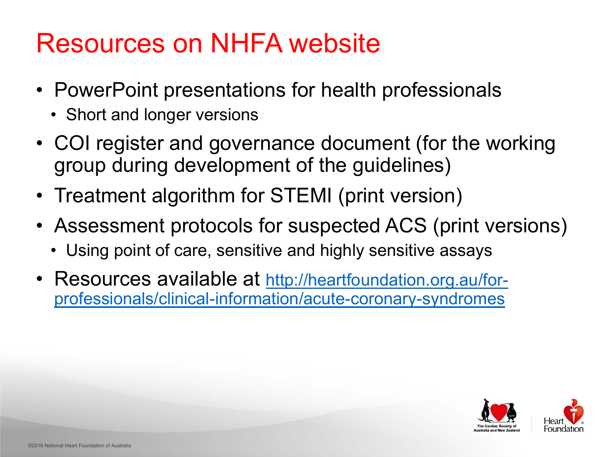



#### Resources on NHFA website

- $\bullet$  PowerPoint presentations for health professionals
	- $\bullet$ Short and longer versions
- $\bullet$  COI register and governance document (for the working group during development of the guidelines)
- $\bullet$ Treatment algorithm for STEMI (print version)
- $\bullet$  Assessment protocols for suspected ACS (print versions)
	- $\bullet$ Using point of care, sensitive and highly sensitive assays
- $\bullet$  Resources available at http://heartfoundation.org.au/forprofessionals/clinical-information/acute-coronary-syndromes